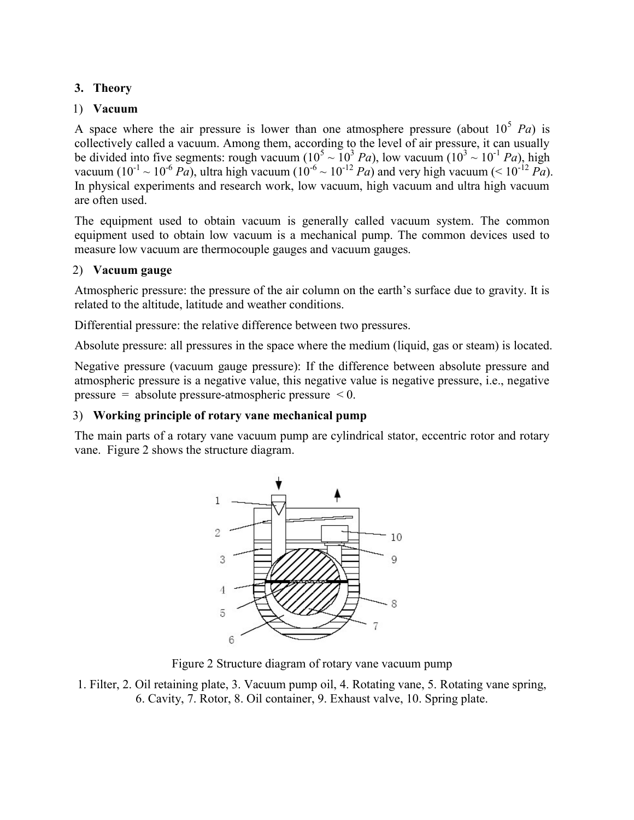## 3. Theory

## 1) Vacuum

A space where the air pressure is lower than one atmosphere pressure (about  $10^5$  Pa) is collectively called a vacuum. Among them, according to the level of air pressure, it can usually be divided into five segments: rough vacuum ( $10^5 \sim 10^3$  Pa), low vacuum ( $10^3 \sim 10^{-1}$  Pa), high vacuum (10<sup>-1</sup> ~ 10<sup>-6</sup> Pa), ultra high vacuum (10<sup>-6</sup> ~ 10<sup>-12</sup> Pa) and very high vacuum (< 10<sup>-12</sup> Pa). In physical experiments and research work, low vacuum, high vacuum and ultra high vacuum are often used.

The equipment used to obtain vacuum is generally called vacuum system. The common equipment used to obtain low vacuum is a mechanical pump. The common devices used to measure low vacuum are thermocouple gauges and vacuum gauges.

# 2) Vacuum gauge

Atmospheric pressure: the pressure of the air column on the earth's surface due to gravity. It is related to the altitude, latitude and weather conditions.

Differential pressure: the relative difference between two pressures.

Absolute pressure: all pressures in the space where the medium (liquid, gas or steam) is located.

Negative pressure (vacuum gauge pressure): If the difference between absolute pressure and atmospheric pressure is a negative value, this negative value is negative pressure, i.e., negative pressure = absolute pressure-atmospheric pressure  $\leq 0$ .

# 3) Working principle of rotary vane mechanical pump

The main parts of a rotary vane vacuum pump are cylindrical stator, eccentric rotor and rotary vane. Figure 2 shows the structure diagram.



Figure 2 Structure diagram of rotary vane vacuum pump

1. Filter, 2. Oil retaining plate, 3. Vacuum pump oil, 4. Rotating vane, 5. Rotating vane spring, 6. Cavity, 7. Rotor, 8. Oil container, 9. Exhaust valve, 10. Spring plate.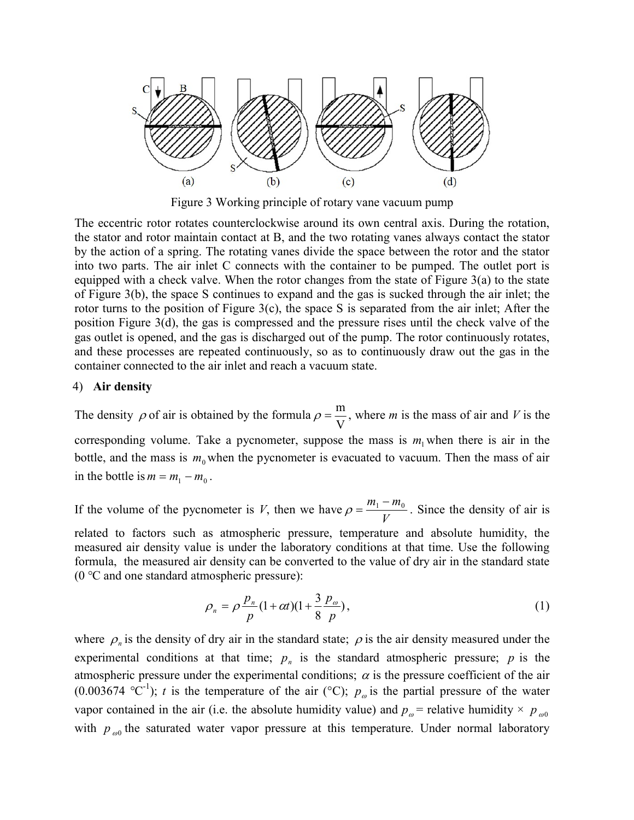

Figure 3 Working principle of rotary vane vacuum pump

The eccentric rotor rotates counterclockwise around its own central axis. During the rotation, the stator and rotor maintain contact at B, and the two rotating vanes always contact the stator by the action of a spring. The rotating vanes divide the space between the rotor and the stator into two parts. The air inlet C connects with the container to be pumped. The outlet port is equipped with a check valve. When the rotor changes from the state of Figure  $3(a)$  to the state of Figure 3(b), the space S continues to expand and the gas is sucked through the air inlet; the rotor turns to the position of Figure 3(c), the space S is separated from the air inlet; After the position Figure 3(d), the gas is compressed and the pressure rises until the check valve of the gas outlet is opened, and the gas is discharged out of the pump. The rotor continuously rotates, and these processes are repeated continuously, so as to continuously draw out the gas in the container connected to the air inlet and reach a vacuum state.

#### 4) Air density

The density  $\rho$  of air is obtained by the formula V  $\rho = \frac{m}{m}$ , where *m* is the mass of air and *V* is the corresponding volume. Take a pycnometer, suppose the mass is  $m_1$  when there is air in the bottle, and the mass is  $m_0$  when the pycnometer is evacuated to vacuum. Then the mass of air in the bottle is  $m = m_1 - m_0$ .

If the volume of the pycnometer is  $V$ , then we have V  $\rho = \frac{m_1 - m_0}{r}$ . Since the density of air is related to factors such as atmospheric pressure, temperature and absolute humidity, the measured air density value is under the laboratory conditions at that time. Use the following formula, the measured air density can be converted to the value of dry air in the standard state (0 ℃ and one standard atmospheric pressure):

$$
\rho_n = \rho \frac{p_n}{p} (1 + \alpha t)(1 + \frac{3}{8} \frac{p_{\omega}}{p}),
$$
\n(1)

where  $\rho_n$  is the density of dry air in the standard state;  $\rho$  is the air density measured under the experimental conditions at that time;  $p_n$  is the standard atmospheric pressure; p is the atmospheric pressure under the experimental conditions;  $\alpha$  is the pressure coefficient of the air (0.003674 °C<sup>-1</sup>); t is the temperature of the air (°C);  $p_{\varphi}$  is the partial pressure of the water vapor contained in the air (i.e. the absolute humidity value) and  $p_{\omega}$  = relative humidity  $\times$   $p_{\omega0}$ with  $p_{\omega 0}$  the saturated water vapor pressure at this temperature. Under normal laboratory